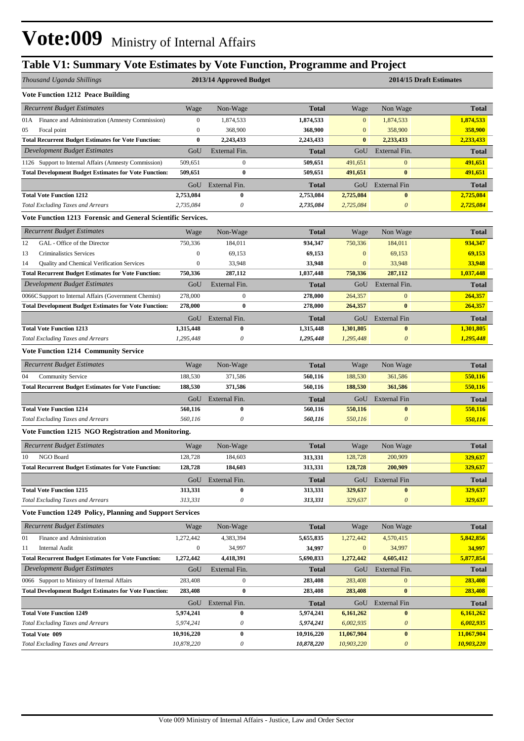## **Table V1: Summary Vote Estimates by Vote Function, Programme and Project**

| Thousand Uganda Shillings                                       |                  | 2013/14 Approved Budget   |              | 2014/15 Draft Estimates |                           |              |  |  |
|-----------------------------------------------------------------|------------------|---------------------------|--------------|-------------------------|---------------------------|--------------|--|--|
| <b>Vote Function 1212 Peace Building</b>                        |                  |                           |              |                         |                           |              |  |  |
| <b>Recurrent Budget Estimates</b>                               | Wage             | Non-Wage                  | <b>Total</b> | Wage                    | Non Wage                  | <b>Total</b> |  |  |
| Finance and Administration (Amnesty Commission)<br>01A          | $\mathbf{0}$     | 1,874,533                 | 1,874,533    | $\mathbf{0}$            | 1,874,533                 | 1,874,533    |  |  |
| 05<br>Focal point                                               | $\boldsymbol{0}$ | 368,900                   | 368,900      | $\mathbf{0}$            | 358,900                   | 358,900      |  |  |
| <b>Total Recurrent Budget Estimates for Vote Function:</b>      | 0                | 2,243,433                 | 2,243,433    | $\bf{0}$                | 2,233,433                 | 2,233,433    |  |  |
| Development Budget Estimates                                    | GoU              | External Fin.             | <b>Total</b> | GoU                     | External Fin.             | <b>Total</b> |  |  |
| 1126 Support to Internal Affairs (Amnesty Commission)           | 509,651          | $\mathbf{0}$              | 509,651      | 491,651                 | $\mathbf{0}$              | 491,651      |  |  |
| <b>Total Development Budget Estimates for Vote Function:</b>    | 509,651          | $\bf{0}$                  | 509,651      | 491,651                 | $\bf{0}$                  | 491,651      |  |  |
|                                                                 | GoU              | External Fin.             | <b>Total</b> | GoU                     | <b>External Fin</b>       | <b>Total</b> |  |  |
| <b>Total Vote Function 1212</b>                                 | 2,753,084        | $\bf{0}$                  | 2,753,084    | 2,725,084               | $\bf{0}$                  | 2,725,084    |  |  |
| <b>Total Excluding Taxes and Arrears</b>                        | 2,735,084        | $\boldsymbol{\theta}$     | 2,735,084    | 2,725,084               | $\boldsymbol{\theta}$     | 2,725,084    |  |  |
| Vote Function 1213 Forensic and General Scientific Services.    |                  |                           |              |                         |                           |              |  |  |
| <b>Recurrent Budget Estimates</b>                               | Wage             | Non-Wage                  | <b>Total</b> | Wage                    | Non Wage                  | <b>Total</b> |  |  |
| 12<br>GAL - Office of the Director                              | 750,336          | 184,011                   | 934,347      | 750,336                 | 184,011                   | 934,347      |  |  |
| 13<br>Criminalistics Services                                   | $\boldsymbol{0}$ | 69,153                    | 69,153       | $\mathbf{0}$            | 69,153                    | 69,153       |  |  |
| 14<br>Quality and Chemical Verification Services                | $\boldsymbol{0}$ | 33,948                    | 33,948       | $\mathbf{0}$            | 33,948                    | 33,948       |  |  |
| <b>Total Recurrent Budget Estimates for Vote Function:</b>      | 750,336          | 287,112                   | 1,037,448    | 750,336                 | 287,112                   | 1,037,448    |  |  |
| <b>Development Budget Estimates</b>                             | GoU              | External Fin.             | Total        | GoU                     | External Fin.             | <b>Total</b> |  |  |
| 0066C Support to Internal Affairs (Government Chemist)          | 278,000          | $\mathbf{0}$              | 278,000      | 264,357                 | $\mathbf{0}$              | 264,357      |  |  |
| <b>Total Development Budget Estimates for Vote Function:</b>    | 278,000          | $\bf{0}$                  | 278,000      | 264,357                 | $\bf{0}$                  | 264,357      |  |  |
|                                                                 | GoU              | External Fin.             | Total        | GoU                     | <b>External Fin</b>       | <b>Total</b> |  |  |
| <b>Total Vote Function 1213</b>                                 | 1,315,448        | $\bf{0}$                  | 1,315,448    | 1,301,805               | $\bf{0}$                  | 1,301,805    |  |  |
| <b>Total Excluding Taxes and Arrears</b>                        | 1,295,448        | $\boldsymbol{\theta}$     | 1,295,448    | 1,295,448               | $\boldsymbol{\theta}$     | 1,295,448    |  |  |
| <b>Vote Function 1214 Community Service</b>                     |                  |                           |              |                         |                           |              |  |  |
| <b>Recurrent Budget Estimates</b>                               | Wage             | Non-Wage                  | <b>Total</b> | Wage                    | Non Wage                  | <b>Total</b> |  |  |
| 04<br><b>Community Service</b>                                  | 188,530          | 371,586                   | 560,116      | 188,530                 | 361,586                   | 550,116      |  |  |
| <b>Total Recurrent Budget Estimates for Vote Function:</b>      | 188,530          | 371,586                   | 560,116      | 188,530                 | 361,586                   | 550,116      |  |  |
|                                                                 | GoU              | External Fin.             | <b>Total</b> | GoU                     | <b>External Fin</b>       | <b>Total</b> |  |  |
| <b>Total Vote Function 1214</b>                                 | 560,116          | $\bf{0}$                  | 560,116      | 550,116                 | $\bf{0}$                  | 550,116      |  |  |
| <b>Total Excluding Taxes and Arrears</b>                        | 560,116          | $\boldsymbol{\theta}$     | 560,116      | 550,116                 | $\boldsymbol{\theta}$     | 550,116      |  |  |
| Vote Function 1215 NGO Registration and Monitoring.             |                  |                           |              |                         |                           |              |  |  |
| <b>Recurrent Budget Estimates</b>                               | Wage             | Non-Wage                  | <b>Total</b> | Wage                    | Non Wage                  | <b>Total</b> |  |  |
| NGO Board<br>10                                                 | 128,728          | 184,603                   | 313,331      | 128,728                 | 200,909                   | 329,637      |  |  |
| <b>Total Recurrent Budget Estimates for Vote Function:</b>      | 128,728          | 184,603                   | 313,331      | 128,728                 | 200,909                   | 329,637      |  |  |
|                                                                 |                  | GoU External Fin.         | <b>Total</b> |                         | GoU External Fin          | <b>Total</b> |  |  |
| <b>Total Vote Function 1215</b>                                 | 313,331          | $\bf{0}$                  | 313,331      | 329,637                 | $\bf{0}$                  | 329,637      |  |  |
| <b>Total Excluding Taxes and Arrears</b>                        | 313,331          | $\boldsymbol{\mathit{0}}$ | 313,331      | 329,637                 | $\boldsymbol{\theta}$     | 329,637      |  |  |
| <b>Vote Function 1249 Policy, Planning and Support Services</b> |                  |                           |              |                         |                           |              |  |  |
| <b>Recurrent Budget Estimates</b>                               | Wage             | Non-Wage                  | <b>Total</b> | Wage                    | Non Wage                  | <b>Total</b> |  |  |
| Finance and Administration<br>01                                | 1,272,442        | 4,383,394                 | 5,655,835    | 1,272,442               | 4,570,415                 | 5,842,856    |  |  |
| 11<br><b>Internal Audit</b>                                     | $\boldsymbol{0}$ | 34,997                    | 34,997       | $\boldsymbol{0}$        | 34,997                    | 34,997       |  |  |
| <b>Total Recurrent Budget Estimates for Vote Function:</b>      | 1,272,442        | 4,418,391                 | 5,690,833    | 1,272,442               | 4,605,412                 | 5,877,854    |  |  |
| Development Budget Estimates                                    | GoU              | External Fin.             | <b>Total</b> | GoU                     | External Fin.             | <b>Total</b> |  |  |
| 0066 Support to Ministry of Internal Affairs                    | 283,408          | $\boldsymbol{0}$          | 283,408      | 283,408                 | $\mathbf{0}$              | 283,408      |  |  |
| <b>Total Development Budget Estimates for Vote Function:</b>    | 283,408          | $\bf{0}$                  | 283,408      | 283,408                 | $\bf{0}$                  | 283,408      |  |  |
|                                                                 | GoU              | External Fin.             | <b>Total</b> | GoU                     | <b>External Fin</b>       | <b>Total</b> |  |  |
| <b>Total Vote Function 1249</b>                                 | 5,974,241        | $\bf{0}$                  | 5,974,241    | 6,161,262               | $\bf{0}$                  | 6,161,262    |  |  |
| <b>Total Excluding Taxes and Arrears</b>                        | 5,974,241        | 0                         | 5,974,241    | 6,002,935               | $\boldsymbol{\mathit{0}}$ | 6,002,935    |  |  |
| <b>Total Vote 009</b>                                           | 10,916,220       | $\boldsymbol{0}$          | 10,916,220   | 11,067,904              | $\bf{0}$                  | 11,067,904   |  |  |
| <b>Total Excluding Taxes and Arrears</b>                        | 10,878,220       | $\boldsymbol{\mathit{0}}$ | 10,878,220   | 10,903,220              | $\boldsymbol{\theta}$     | 10,903,220   |  |  |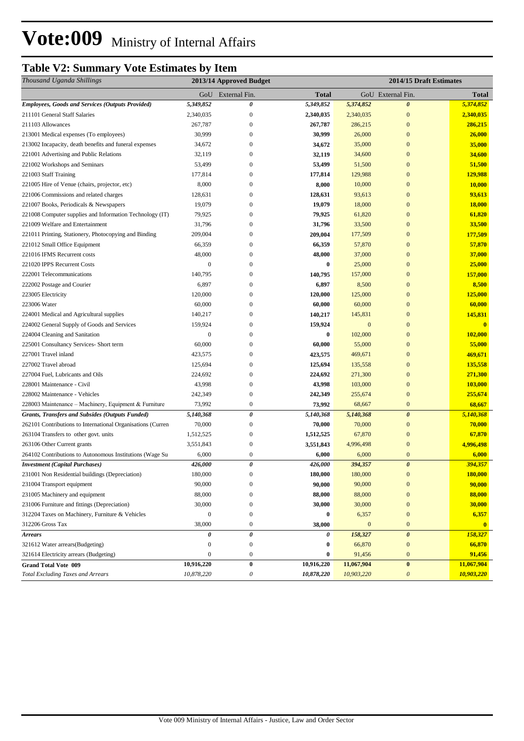## **Table V2: Summary Vote Estimates by Item**

| Thousand Uganda Shillings<br>2013/14 Approved Budget                                                                                         | 2014/15 Draft Estimates |  |  |  |
|----------------------------------------------------------------------------------------------------------------------------------------------|-------------------------|--|--|--|
| GoU External Fin.<br>GoU External Fin.<br>Total                                                                                              | <b>Total</b>            |  |  |  |
| <b>Employees, Goods and Services (Outputs Provided)</b><br>5,349,852<br>0<br>5,349,852<br>$\boldsymbol{\theta}$<br>5,374,852                 | 5,374,852               |  |  |  |
| 211101 General Staff Salaries<br>2,340,035<br>$\mathbf{0}$<br>2,340,035<br>2,340,035<br>$\boldsymbol{0}$                                     | 2,340,035               |  |  |  |
| 267,787<br>$\mathbf{0}$<br>267,787<br>$\mathbf{0}$<br>211103 Allowances<br>286,215                                                           | 286,215                 |  |  |  |
| 30,999<br>30,999<br>26,000<br>$\mathbf{0}$<br>213001 Medical expenses (To employees)<br>$\boldsymbol{0}$                                     | 26,000                  |  |  |  |
| 213002 Incapacity, death benefits and funeral expenses<br>34,672<br>$\boldsymbol{0}$<br>34,672<br>35,000<br>$\mathbf{0}$                     | 35,000                  |  |  |  |
| 32,119<br>$\mathbf{0}$<br>221001 Advertising and Public Relations<br>32,119<br>$\boldsymbol{0}$<br>34,600                                    | 34,600                  |  |  |  |
| 221002 Workshops and Seminars<br>53,499<br>$\boldsymbol{0}$<br>53,499<br>51,500<br>$\mathbf{0}$                                              | 51,500                  |  |  |  |
| $\mathbf{0}$<br>221003 Staff Training<br>177,814<br>$\boldsymbol{0}$<br>177,814<br>129,988                                                   | 129,988                 |  |  |  |
| 8,000<br>8,000<br>10,000<br>221005 Hire of Venue (chairs, projector, etc)<br>$\boldsymbol{0}$<br>$\boldsymbol{0}$                            | 10,000                  |  |  |  |
| $\mathbf{0}$<br>$\mathbf{0}$<br>221006 Commissions and related charges<br>128,631<br>128,631<br>93,613                                       | 93,613                  |  |  |  |
| $\mathbf{0}$<br>221007 Books, Periodicals & Newspapers<br>19,079<br>$\boldsymbol{0}$<br>19,079<br>18,000                                     | 18,000                  |  |  |  |
| 79,925<br>221008 Computer supplies and Information Technology (IT)<br>79,925<br>$\boldsymbol{0}$<br>61,820<br>$\mathbf{0}$                   | 61,820                  |  |  |  |
| 31,796<br>$\mathbf{0}$<br>31,796<br>33,500<br>$\mathbf{0}$<br>221009 Welfare and Entertainment                                               | 33,500                  |  |  |  |
| 221011 Printing, Stationery, Photocopying and Binding<br>209,004<br>$\mathbf{0}$<br>209,004<br>177,509<br>$\mathbf{0}$                       | 177,509                 |  |  |  |
| $\boldsymbol{0}$<br>66,359<br>57,870<br>$\mathbf{0}$<br>221012 Small Office Equipment<br>66,359                                              | 57,870                  |  |  |  |
| 48,000<br>221016 IFMS Recurrent costs<br>48,000<br>$\boldsymbol{0}$<br>37,000<br>$\mathbf{0}$                                                | 37,000                  |  |  |  |
| 221020 IPPS Recurrent Costs<br>$\boldsymbol{0}$<br>$\boldsymbol{0}$<br>$\bf{0}$<br>25,000<br>$\mathbf{0}$                                    | 25,000                  |  |  |  |
| 222001 Telecommunications<br>140,795<br>$\boldsymbol{0}$<br>140,795<br>157,000<br>$\boldsymbol{0}$                                           | 157,000                 |  |  |  |
| 222002 Postage and Courier<br>6,897<br>$\boldsymbol{0}$<br>6,897<br>8,500<br>$\mathbf{0}$                                                    | 8,500                   |  |  |  |
| $\boldsymbol{0}$<br>$\overline{0}$<br>223005 Electricity<br>120,000<br>120,000<br>125,000                                                    | 125,000                 |  |  |  |
| 223006 Water<br>60,000<br>$\boldsymbol{0}$<br>60,000<br>60,000<br>$\mathbf{0}$                                                               | 60,000                  |  |  |  |
| $\boldsymbol{0}$<br>$\mathbf{0}$<br>224001 Medical and Agricultural supplies<br>140,217<br>140,217<br>145,831                                | 145,831                 |  |  |  |
| 159,924<br>$\mathbf{0}$<br>$\mathbf{0}$<br>224002 General Supply of Goods and Services<br>159,924<br>$\boldsymbol{0}$                        | $\overline{\mathbf{0}}$ |  |  |  |
| $\boldsymbol{0}$<br>102,000<br>$\mathbf{0}$<br>224004 Cleaning and Sanitation<br>$\mathbf{0}$<br>$\bf{0}$                                    | 102,000                 |  |  |  |
| 225001 Consultancy Services- Short term<br>60,000<br>$\boldsymbol{0}$<br>60,000<br>55,000<br>$\boldsymbol{0}$                                | 55,000                  |  |  |  |
| 227001 Travel inland<br>423,575<br>$\boldsymbol{0}$<br>423,575<br>469,671<br>$\mathbf{0}$                                                    | 469,671                 |  |  |  |
| 125,694<br>$\mathbf{0}$<br>227002 Travel abroad<br>$\boldsymbol{0}$<br>125,694<br>135,558                                                    | 135,558                 |  |  |  |
| 227004 Fuel, Lubricants and Oils<br>224,692<br>$\boldsymbol{0}$<br>224,692<br>271,300<br>$\mathbf{0}$                                        | 271,300                 |  |  |  |
| 43,998<br>$\boldsymbol{0}$<br>43,998<br>$\mathbf{0}$<br>228001 Maintenance - Civil<br>103,000                                                | 103,000                 |  |  |  |
| 242,349<br>$\mathbf{0}$<br>242,349<br>$\mathbf{0}$<br>228002 Maintenance - Vehicles<br>255,674                                               | 255,674                 |  |  |  |
| 73,992<br>$\boldsymbol{0}$<br>68,667<br>$\mathbf{0}$<br>228003 Maintenance – Machinery, Equipment & Furniture<br>73,992                      | 68,667                  |  |  |  |
| $\boldsymbol{\theta}$<br>Grants, Transfers and Subsides (Outputs Funded)<br>5,140,368<br>0<br>5,140,368<br>5,140,368                         | 5,140,368               |  |  |  |
| 262101 Contributions to International Organisations (Curren<br>$\mathbf{0}$<br>70,000<br>$\mathbf{0}$<br>70,000<br>70,000                    | 70,000                  |  |  |  |
| $\mathbf{0}$<br>67,870<br>$\mathbf{0}$<br>263104 Transfers to other govt. units<br>1,512,525<br>1,512,525                                    | 67,870                  |  |  |  |
| 263106 Other Current grants<br>3,551,843<br>$\bf{0}$<br>3,551,843<br>4,996,498<br>$\mathbf{0}$                                               | 4,996,498               |  |  |  |
| $\boldsymbol{0}$<br>6,000<br>$\mathbf{0}$<br>264102 Contributions to Autonomous Institutions (Wage Su<br>6,000<br>6,000                      | 6,000                   |  |  |  |
| $\boldsymbol{\theta}$<br>$\boldsymbol{\theta}$<br>426,000<br>426,000<br>394,357<br><b>Investment (Capital Purchases)</b>                     | 394,357                 |  |  |  |
| 180,000<br>231001 Non Residential buildings (Depreciation)<br>$\boldsymbol{0}$<br>180,000<br>180,000<br>$\boldsymbol{0}$                     | 180,000                 |  |  |  |
| 90,000<br>231004 Transport equipment<br>90,000<br>$\boldsymbol{0}$<br>90,000<br>$\overline{0}$                                               | 90,000                  |  |  |  |
| 88,000<br>231005 Machinery and equipment<br>88,000<br>$\boldsymbol{0}$<br>88,000<br>$\mathbf{0}$                                             | 88,000                  |  |  |  |
| $\mathbf{0}$<br>231006 Furniture and fittings (Depreciation)<br>30,000<br>$\mathbf{0}$<br>30,000<br>30,000                                   | 30,000                  |  |  |  |
| 312204 Taxes on Machinery, Furniture & Vehicles<br>$\boldsymbol{0}$<br>$\boldsymbol{0}$<br>6,357<br>$\boldsymbol{0}$<br>$\bf{0}$             | 6,357                   |  |  |  |
| $\boldsymbol{0}$<br>312206 Gross Tax<br>38,000<br>38,000<br>$\mathbf{0}$<br>$\boldsymbol{0}$                                                 | $\bf{0}$                |  |  |  |
| 0<br>0<br>0<br>158,327<br>$\boldsymbol{\theta}$<br><b>Arrears</b>                                                                            | 158,327                 |  |  |  |
| 321612 Water arrears(Budgeting)<br>$\boldsymbol{0}$<br>66,870<br>$\boldsymbol{0}$<br>$\boldsymbol{0}$<br>$\bf{0}$                            | 66,870                  |  |  |  |
| 321614 Electricity arrears (Budgeting)<br>$\boldsymbol{0}$<br>$\boldsymbol{0}$<br>91,456<br>$\mathbf{0}$<br>$\bf{0}$                         | 91,456                  |  |  |  |
| 10,916,220<br>$\pmb{0}$<br>10,916,220<br>11,067,904<br>$\bf{0}$<br><b>Grand Total Vote 009</b>                                               | 11,067,904              |  |  |  |
| <b>Total Excluding Taxes and Arrears</b><br>10,878,220<br>$\boldsymbol{\mathit{0}}$<br>10,878,220<br>10,903,220<br>$\boldsymbol{\mathit{0}}$ | 10,903,220              |  |  |  |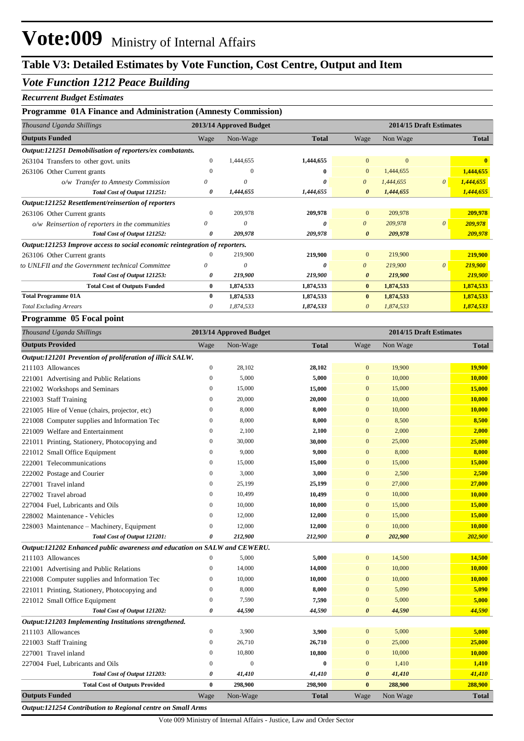### *Vote Function 1212 Peace Building*

#### *Recurrent Budget Estimates*

#### **Programme 01A Finance and Administration (Amnesty Commission)**

| Thousand Uganda Shillings                                                   |              | 2013/14 Approved Budget |              |                       |              | 2014/15 Draft Estimates |              |  |
|-----------------------------------------------------------------------------|--------------|-------------------------|--------------|-----------------------|--------------|-------------------------|--------------|--|
| <b>Outputs Funded</b>                                                       | Wage         | Non-Wage                | <b>Total</b> | Wage                  | Non Wage     |                         | <b>Total</b> |  |
| Output:121251 Demobilisation of reporters/ex combatants.                    |              |                         |              |                       |              |                         |              |  |
| 263104 Transfers to other govt. units                                       | $\Omega$     | 1,444,655               | 1,444,655    | $\overline{0}$        | $\mathbf{0}$ |                         | $\mathbf{0}$ |  |
| 263106 Other Current grants                                                 |              | $\Omega$                | $\mathbf{0}$ | $\overline{0}$        | 1,444,655    |                         | 1,444,655    |  |
| o/w Transfer to Amnesty Commission                                          | 0            | $\Omega$                | o            | $\theta$              | 1,444,655    | $\theta$                | 1,444,655    |  |
| Total Cost of Output 121251:                                                | 0            | 1,444,655               | 1,444,655    | $\theta$              | 1,444,655    |                         | 1,444,655    |  |
| Output:121252 Resettlement/reinsertion of reporters                         |              |                         |              |                       |              |                         |              |  |
| 263106 Other Current grants                                                 | $\Omega$     | 209,978                 | 209,978      | $\overline{0}$        | 209,978      |                         | 209,978      |  |
| o/w Reinsertion of reporters in the communities                             | 0            | $\theta$                | O            | $\theta$              | 209,978      | $\theta$                | 209,978      |  |
| Total Cost of Output 121252:                                                |              | 209,978                 | 209,978      | $\theta$              | 209,978      |                         | 209,978      |  |
| Output:121253 Improve access to social economic reintegration of reporters. |              |                         |              |                       |              |                         |              |  |
| 263106 Other Current grants                                                 |              | 219,900                 | 219,900      | $\overline{0}$        | 219,900      |                         | 219,900      |  |
| to UNLFII and the Government technical Committee                            | 0            | $\theta$                | n            | $\boldsymbol{\theta}$ | 219,900      | $\theta$                | 219,900      |  |
| Total Cost of Output 121253:                                                | 0            | 219,900                 | 219,900      | $\boldsymbol{\theta}$ | 219,900      |                         | 219,900      |  |
| <b>Total Cost of Outputs Funded</b>                                         | $\mathbf{0}$ | 1,874,533               | 1,874,533    | $\bf{0}$              | 1,874,533    |                         | 1,874,533    |  |
| <b>Total Programme 01A</b>                                                  | $\bf{0}$     | 1,874,533               | 1,874,533    | $\mathbf{0}$          | 1,874,533    |                         | 1,874,533    |  |
| <b>Total Excluding Arrears</b>                                              | 0            | 1,874,533               | 1,874,533    |                       | 1,874,533    |                         | 1,874,533    |  |

#### **Programme 05 Focal point**

| Thousand Uganda Shillings                                                 | 2013/14 Approved Budget |                |              |                       |          | 2014/15 Draft Estimates |
|---------------------------------------------------------------------------|-------------------------|----------------|--------------|-----------------------|----------|-------------------------|
| <b>Outputs Provided</b>                                                   | Wage                    | Non-Wage       | <b>Total</b> | Wage                  | Non Wage | <b>Total</b>            |
| Output:121201 Prevention of proliferation of illicit SALW.                |                         |                |              |                       |          |                         |
| 211103 Allowances                                                         | $\boldsymbol{0}$        | 28,102         | 28,102       | $\mathbf{0}$          | 19,900   | 19,900                  |
| 221001 Advertising and Public Relations                                   | $\overline{0}$          | 5,000          | 5,000        | $\mathbf{0}$          | 10,000   | 10,000                  |
| 221002 Workshops and Seminars                                             | $\mathbf{0}$            | 15,000         | 15,000       | $\mathbf{0}$          | 15,000   | 15,000                  |
| 221003 Staff Training                                                     | $\mathbf{0}$            | 20,000         | 20,000       | $\mathbf{0}$          | 10,000   | 10,000                  |
| 221005 Hire of Venue (chairs, projector, etc)                             | $\mathbf{0}$            | 8,000          | 8,000        | $\mathbf{0}$          | 10,000   | 10,000                  |
| 221008 Computer supplies and Information Tec                              | $\boldsymbol{0}$        | 8,000          | 8,000        | $\mathbf{0}$          | 8,500    | 8,500                   |
| 221009 Welfare and Entertainment                                          | $\mathbf{0}$            | 2,100          | 2,100        | $\mathbf{0}$          | 2,000    | 2,000                   |
| 221011 Printing, Stationery, Photocopying and                             | $\boldsymbol{0}$        | 30,000         | 30,000       | $\mathbf{0}$          | 25,000   | 25,000                  |
| 221012 Small Office Equipment                                             | $\overline{0}$          | 9,000          | 9,000        | $\mathbf{0}$          | 8,000    | 8,000                   |
| 222001 Telecommunications                                                 | $\mathbf{0}$            | 15,000         | 15,000       | $\mathbf{0}$          | 15,000   | 15,000                  |
| 222002 Postage and Courier                                                | $\boldsymbol{0}$        | 3,000          | 3,000        | $\mathbf{0}$          | 2,500    | 2,500                   |
| 227001 Travel inland                                                      | $\mathbf{0}$            | 25,199         | 25,199       | $\mathbf{0}$          | 27,000   | 27,000                  |
| 227002 Travel abroad                                                      | $\boldsymbol{0}$        | 10,499         | 10,499       | $\mathbf{0}$          | 10,000   | 10,000                  |
| 227004 Fuel, Lubricants and Oils                                          | $\mathbf{0}$            | 10,000         | 10,000       | $\mathbf{0}$          | 15,000   | 15,000                  |
| 228002 Maintenance - Vehicles                                             | $\mathbf{0}$            | 12,000         | 12,000       | $\mathbf{0}$          | 15,000   | 15,000                  |
| 228003 Maintenance - Machinery, Equipment                                 | $\boldsymbol{0}$        | 12,000         | 12,000       | $\mathbf{0}$          | 10,000   | 10,000                  |
| Total Cost of Output 121201:                                              | 0                       | 212,900        | 212,900      | $\boldsymbol{\theta}$ | 202,900  | 202,900                 |
| Output:121202 Enhanced public awareness and education on SALW and CEWERU. |                         |                |              |                       |          |                         |
| 211103 Allowances                                                         | $\boldsymbol{0}$        | 5,000          | 5,000        | $\mathbf{0}$          | 14,500   | 14,500                  |
| 221001 Advertising and Public Relations                                   | $\mathbf{0}$            | 14,000         | 14,000       | $\mathbf{0}$          | 10,000   | 10,000                  |
| 221008 Computer supplies and Information Tec                              | $\boldsymbol{0}$        | 10,000         | 10,000       | $\mathbf{0}$          | 10,000   | 10,000                  |
| 221011 Printing, Stationery, Photocopying and                             | $\mathbf{0}$            | 8,000          | 8,000        | $\mathbf{0}$          | 5,090    | 5,090                   |
| 221012 Small Office Equipment                                             | $\boldsymbol{0}$        | 7,590          | 7,590        | $\mathbf{0}$          | 5,000    | 5,000                   |
| Total Cost of Output 121202:                                              | 0                       | 44,590         | 44,590       | $\boldsymbol{\theta}$ | 44,590   | 44,590                  |
| Output:121203 Implementing Institutions strengthened.                     |                         |                |              |                       |          |                         |
| 211103 Allowances                                                         | $\boldsymbol{0}$        | 3,900          | 3,900        | $\mathbf{0}$          | 5,000    | 5,000                   |
| 221003 Staff Training                                                     | $\mathbf{0}$            | 26,710         | 26,710       | $\mathbf{0}$          | 25,000   | 25,000                  |
| 227001 Travel inland                                                      | $\mathbf{0}$            | 10,800         | 10,800       | $\mathbf{0}$          | 10,000   | 10,000                  |
| 227004 Fuel, Lubricants and Oils                                          | $\mathbf{0}$            | $\overline{0}$ | $\bf{0}$     | $\mathbf{0}$          | 1,410    | 1,410                   |
| Total Cost of Output 121203:                                              | 0                       | 41,410         | 41,410       | $\boldsymbol{\theta}$ | 41,410   | 41,410                  |
| <b>Total Cost of Outputs Provided</b>                                     | $\bf{0}$                | 298,900        | 298,900      | $\bf{0}$              | 288,900  | 288,900                 |
| <b>Outputs Funded</b>                                                     | Wage                    | Non-Wage       | <b>Total</b> | Wage                  | Non Wage | <b>Total</b>            |
| Output:121254 Contribution to Regional centre on Small Arms               |                         |                |              |                       |          |                         |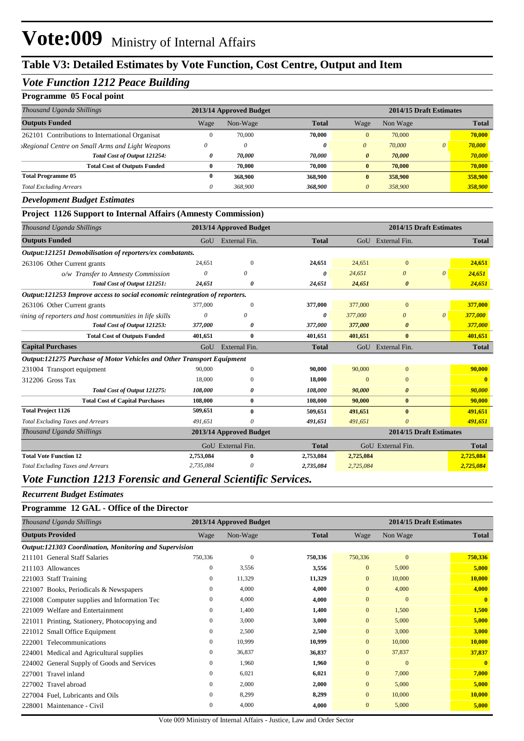## **Table V3: Detailed Estimates by Vote Function, Cost Centre, Output and Item**

### *Vote Function 1212 Peace Building*

#### **Programme 05 Focal point**

| Thousand Uganda Shillings                              | 2013/14 Approved Budget |          |              |          | 2014/15 Draft Estimates |          |              |
|--------------------------------------------------------|-------------------------|----------|--------------|----------|-------------------------|----------|--------------|
| <b>Outputs Funded</b>                                  | Wage                    | Non-Wage | <b>Total</b> | Wage     | Non Wage                |          | <b>Total</b> |
| 262101 Contributions to International Organisat        | $\Omega$                | 70,000   | 70,000       | $\Omega$ | 70,000                  |          | 70,000       |
| <b>Regional Centre on Small Arms and Light Weapons</b> | 0                       | $\theta$ | 0            | $\theta$ | 70,000                  | $\theta$ | 70,000       |
| Total Cost of Output 121254:                           | 0                       | 70.000   | 70.000       | 0        | 70,000                  |          | 70,000       |
| <b>Total Cost of Outputs Funded</b>                    | 0                       | 70.000   | 70,000       | $_{0}$   | 70,000                  |          | 70,000       |
| <b>Total Programme 05</b>                              | 0                       | 368,900  | 368,900      |          | 358,900                 |          | 358,900      |
| <b>Total Excluding Arrears</b>                         | 0                       | 368,900  | 368,900      | 0        | 358,900                 |          | 358,900      |

#### *Development Budget Estimates*

#### **Project 1126 Support to Internal Affairs (Amnesty Commission)**

| Thousand Uganda Shillings                                                   |           | 2013/14 Approved Budget |              | 2014/15 Draft Estimates |                         |          |              |
|-----------------------------------------------------------------------------|-----------|-------------------------|--------------|-------------------------|-------------------------|----------|--------------|
| <b>Outputs Funded</b>                                                       |           | GoU External Fin.       | <b>Total</b> |                         | GoU External Fin.       |          | <b>Total</b> |
| Output:121251 Demobilisation of reporters/ex combatants.                    |           |                         |              |                         |                         |          |              |
| 263106 Other Current grants                                                 | 24,651    | $\theta$                | 24,651       | 24,651                  | $\mathbf{0}$            |          | 24,651       |
| o/w Transfer to Amnesty Commission                                          |           | 0                       | 0            | 24,651                  | $\theta$                | $\theta$ | 24,651       |
| Total Cost of Output 121251:                                                | 24,651    | 0                       | 24,651       | 24,651                  | $\boldsymbol{\theta}$   |          | 24,651       |
| Output:121253 Improve access to social economic reintegration of reporters. |           |                         |              |                         |                         |          |              |
| 263106 Other Current grants                                                 | 377,000   | $\Omega$                | 377,000      | 377,000                 | $\Omega$                |          | 377,000      |
| sining of reporters and host communities in life skills                     | $\theta$  | 0                       | 0            | 377,000                 | $\theta$                | $\theta$ | 377,000      |
| Total Cost of Output 121253:                                                | 377,000   | 0                       | 377,000      | 377,000                 | 0                       |          | 377,000      |
| <b>Total Cost of Outputs Funded</b>                                         | 401,651   | $\bf{0}$                | 401,651      | 401,651                 | $\bf{0}$                |          | 401,651      |
| <b>Capital Purchases</b>                                                    | GoU       | External Fin.           | <b>Total</b> |                         | GoU External Fin.       |          | <b>Total</b> |
| Output:121275 Purchase of Motor Vehicles and Other Transport Equipment      |           |                         |              |                         |                         |          |              |
| 231004 Transport equipment                                                  | 90,000    | $\mathbf{0}$            | 90,000       | 90,000                  | $\mathbf{0}$            |          | 90,000       |
| 312206 Gross Tax                                                            | 18,000    | $\Omega$                | 18,000       | $\Omega$                | $\Omega$                |          | $\mathbf{0}$ |
| Total Cost of Output 121275:                                                | 108,000   | 0                       | 108,000      | 90,000                  | $\boldsymbol{\theta}$   |          | 90,000       |
| <b>Total Cost of Capital Purchases</b>                                      | 108,000   | $\bf{0}$                | 108,000      | 90,000                  | $\bf{0}$                |          | 90,000       |
| <b>Total Project 1126</b>                                                   | 509,651   | $\mathbf{0}$            | 509,651      | 491,651                 | $\bf{0}$                |          | 491,651      |
| <b>Total Excluding Taxes and Arrears</b>                                    | 491,651   | 0                       | 491,651      | 491,651                 | $\theta$                |          | 491,651      |
| Thousand Uganda Shillings                                                   |           | 2013/14 Approved Budget |              |                         | 2014/15 Draft Estimates |          |              |
|                                                                             |           | GoU External Fin.       | <b>Total</b> |                         | GoU External Fin.       |          | <b>Total</b> |
| <b>Total Vote Function 12</b>                                               | 2,753,084 | $\mathbf{0}$            | 2,753,084    | 2,725,084               |                         |          | 2,725,084    |
| <b>Total Excluding Taxes and Arrears</b>                                    | 2,735,084 | 0                       | 2,735,084    | 2,725,084               |                         |          | 2,725,084    |

#### *Vote Function 1213 Forensic and General Scientific Services.*

#### *Recurrent Budget Estimates*

#### **Programme 12 GAL - Office of the Director**

| Thousand Uganda Shillings                     | 2013/14 Approved Budget                                |          |              |                | 2014/15 Draft Estimates |              |  |
|-----------------------------------------------|--------------------------------------------------------|----------|--------------|----------------|-------------------------|--------------|--|
| <b>Outputs Provided</b>                       | Wage                                                   | Non-Wage | <b>Total</b> | Wage           | Non Wage                | <b>Total</b> |  |
|                                               | Output:121303 Coordination, Monitoring and Supervision |          |              |                |                         |              |  |
| 211101 General Staff Salaries                 | 750,336                                                | $\theta$ | 750,336      | 750,336        | $\mathbf{0}$            | 750,336      |  |
| 211103 Allowances                             | $\boldsymbol{0}$                                       | 3,556    | 3,556        | $\mathbf{0}$   | 5,000                   | 5,000        |  |
| <b>Staff Training</b><br>221003               | $\mathbf{0}$                                           | 11,329   | 11,329       | $\mathbf{0}$   | 10,000                  | 10,000       |  |
| 221007 Books, Periodicals & Newspapers        | $\mathbf{0}$                                           | 4,000    | 4,000        | $\mathbf{0}$   | 4,000                   | 4,000        |  |
| 221008 Computer supplies and Information Tec  | $\mathbf{0}$                                           | 4,000    | 4,000        | $\overline{0}$ | $\overline{0}$          | $\mathbf{0}$ |  |
| Welfare and Entertainment<br>221009           | $\mathbf{0}$                                           | 1,400    | 1,400        | $\overline{0}$ | 1,500                   | 1,500        |  |
| 221011 Printing, Stationery, Photocopying and | $\mathbf{0}$                                           | 3,000    | 3,000        | $\overline{0}$ | 5,000                   | 5,000        |  |
| 221012 Small Office Equipment                 | $\mathbf{0}$                                           | 2,500    | 2,500        | $\overline{0}$ | 3,000                   | 3,000        |  |
| Telecommunications<br>222001                  | $\mathbf{0}$                                           | 10,999   | 10,999       | $\overline{0}$ | 10,000                  | 10,000       |  |
| 224001 Medical and Agricultural supplies      | $\mathbf{0}$                                           | 36,837   | 36,837       | $\overline{0}$ | 37,837                  | 37,837       |  |
| 224002 General Supply of Goods and Services   | $\mathbf{0}$                                           | 1,960    | 1,960        | $\overline{0}$ | $\overline{0}$          | $\mathbf{0}$ |  |
| 227001 Travel inland                          | $\mathbf{0}$                                           | 6,021    | 6,021        | $\overline{0}$ | 7,000                   | 7,000        |  |
| 227002 Travel abroad                          | $\mathbf{0}$                                           | 2,000    | 2,000        | $\overline{0}$ | 5,000                   | 5,000        |  |
| 227004 Fuel, Lubricants and Oils              | $\mathbf{0}$                                           | 8,299    | 8,299        | $\overline{0}$ | 10,000                  | 10,000       |  |
| 228001 Maintenance - Civil                    | $\mathbf{0}$                                           | 4,000    | 4,000        | $\mathbf{0}$   | 5,000                   | 5,000        |  |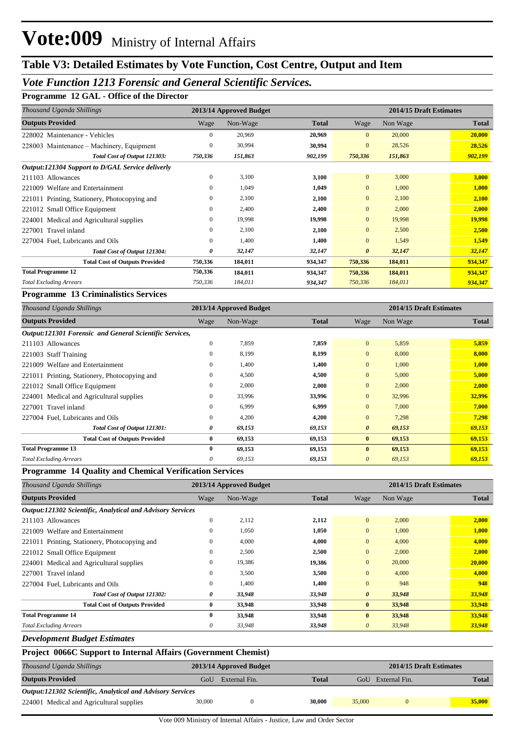#### *Vote Function 1213 Forensic and General Scientific Services.*

#### **Programme 12 GAL - Office of the Director**

| Thousand Uganda Shillings<br>2013/14 Approved Budget |              |          |              |                       | 2014/15 Draft Estimates |              |  |  |
|------------------------------------------------------|--------------|----------|--------------|-----------------------|-------------------------|--------------|--|--|
| <b>Outputs Provided</b>                              | Wage         | Non-Wage | <b>Total</b> | Wage                  | Non Wage                | <b>Total</b> |  |  |
| 228002 Maintenance - Vehicles                        | $\Omega$     | 20,969   | 20,969       | $\overline{0}$        | 20,000                  | 20,000       |  |  |
| 228003 Maintenance – Machinery, Equipment            | $\mathbf{0}$ | 30,994   | 30,994       | $\overline{0}$        | 28,526                  | 28,526       |  |  |
| Total Cost of Output 121303:                         | 750,336      | 151,863  | 902,199      | 750,336               | 151,863                 | 902,199      |  |  |
| Output:121304 Support to D/GAL Service deliverly     |              |          |              |                       |                         |              |  |  |
| 211103 Allowances                                    | $\mathbf{0}$ | 3,100    | 3,100        | $\mathbf{0}$          | 3,000                   | 3,000        |  |  |
| 221009 Welfare and Entertainment                     | $\Omega$     | 1,049    | 1,049        | $\overline{0}$        | 1,000                   | 1,000        |  |  |
| 221011 Printing, Stationery, Photocopying and        | $\mathbf{0}$ | 2,100    | 2,100        | $\overline{0}$        | 2,100                   | 2,100        |  |  |
| 221012 Small Office Equipment                        | $\mathbf{0}$ | 2,400    | 2,400        | $\overline{0}$        | 2,000                   | 2,000        |  |  |
| 224001 Medical and Agricultural supplies             | $\mathbf{0}$ | 19,998   | 19,998       | $\overline{0}$        | 19,998                  | 19,998       |  |  |
| 227001 Travel inland                                 | $\mathbf{0}$ | 2,100    | 2,100        | $\overline{0}$        | 2,500                   | 2,500        |  |  |
| 227004 Fuel, Lubricants and Oils                     | $\mathbf{0}$ | 1,400    | 1,400        | $\overline{0}$        | 1,549                   | 1,549        |  |  |
| Total Cost of Output 121304:                         | 0            | 32,147   | 32,147       | $\boldsymbol{\theta}$ | 32,147                  | 32,147       |  |  |
| <b>Total Cost of Outputs Provided</b>                | 750,336      | 184,011  | 934,347      | 750,336               | 184,011                 | 934,347      |  |  |
| <b>Total Programme 12</b>                            | 750,336      | 184,011  | 934,347      | 750,336               | 184,011                 | 934,347      |  |  |
| <b>Total Excluding Arrears</b>                       | 750,336      | 184,011  | 934,347      | 750,336               | 184,011                 | 934,347      |  |  |

#### **Programme 13 Criminalistics Services**

| Thousand Uganda Shillings                               | 2013/14 Approved Budget |          |              |                       | 2014/15 Draft Estimates |              |  |  |
|---------------------------------------------------------|-------------------------|----------|--------------|-----------------------|-------------------------|--------------|--|--|
| <b>Outputs Provided</b>                                 | Wage                    | Non-Wage | <b>Total</b> | Wage                  | Non Wage                | <b>Total</b> |  |  |
| Output:121301 Forensic and General Scientific Services, |                         |          |              |                       |                         |              |  |  |
| 211103 Allowances                                       | $\mathbf{0}$            | 7,859    | 7,859        | $\overline{0}$        | 5,859                   | 5,859        |  |  |
| 221003 Staff Training                                   | $\mathbf{0}$            | 8,199    | 8,199        | $\overline{0}$        | 8,000                   | 8,000        |  |  |
| 221009 Welfare and Entertainment                        | 0                       | 1,400    | 1,400        | $\overline{0}$        | 1,000                   | 1,000        |  |  |
| 221011 Printing, Stationery, Photocopying and           | 0                       | 4,500    | 4,500        | $\overline{0}$        | 5,000                   | 5,000        |  |  |
| 221012 Small Office Equipment                           | $\Omega$                | 2,000    | 2,000        | $\overline{0}$        | 2,000                   | 2,000        |  |  |
| 224001 Medical and Agricultural supplies                | $\Omega$                | 33,996   | 33,996       | $\overline{0}$        | 32,996                  | 32,996       |  |  |
| 227001 Travel inland                                    | $\mathbf{0}$            | 6,999    | 6,999        | $\overline{0}$        | 7,000                   | 7,000        |  |  |
| 227004 Fuel, Lubricants and Oils                        | $\mathbf{0}$            | 4,200    | 4,200        | $\overline{0}$        | 7,298                   | 7,298        |  |  |
| Total Cost of Output 121301:                            | 0                       | 69,153   | 69,153       | $\boldsymbol{\theta}$ | 69,153                  | 69,153       |  |  |
| <b>Total Cost of Outputs Provided</b>                   | 0                       | 69,153   | 69,153       | $\bf{0}$              | 69,153                  | 69,153       |  |  |
| <b>Total Programme 13</b>                               | 0                       | 69,153   | 69,153       | $\bf{0}$              | 69,153                  | 69,153       |  |  |
| <b>Total Excluding Arrears</b>                          | 0                       | 69,153   | 69,153       | $\theta$              | 69,153                  | 69,153       |  |  |

#### **Programme 14 Quality and Chemical Verification Services**

| Thousand Uganda Shillings                                  | 2013/14 Approved Budget |          |              |                       | 2014/15 Draft Estimates |              |  |
|------------------------------------------------------------|-------------------------|----------|--------------|-----------------------|-------------------------|--------------|--|
| <b>Outputs Provided</b>                                    | Wage                    | Non-Wage | <b>Total</b> | Wage                  | Non Wage                | <b>Total</b> |  |
| Output:121302 Scientific, Analytical and Advisory Services |                         |          |              |                       |                         |              |  |
| 211103 Allowances                                          | $\mathbf{0}$            | 2,112    | 2,112        | $\overline{0}$        | 2,000                   | 2,000        |  |
| 221009 Welfare and Entertainment                           | $\mathbf{0}$            | 1,050    | 1,050        | $\overline{0}$        | 1,000                   | 1,000        |  |
| 221011 Printing, Stationery, Photocopying and              | $\Omega$                | 4,000    | 4.000        | $\overline{0}$        | 4,000                   | 4,000        |  |
| 221012 Small Office Equipment                              | $\mathbf{0}$            | 2,500    | 2,500        | $\overline{0}$        | 2,000                   | 2,000        |  |
| 224001 Medical and Agricultural supplies                   | $\Omega$                | 19,386   | 19,386       | $\overline{0}$        | 20,000                  | 20,000       |  |
| 227001 Travel inland                                       | $\mathbf{0}$            | 3,500    | 3,500        | $\overline{0}$        | 4.000                   | 4,000        |  |
| 227004 Fuel. Lubricants and Oils                           | $\mathbf{0}$            | 1,400    | 1,400        | $\overline{0}$        | 948                     | 948          |  |
| Total Cost of Output 121302:                               | 0                       | 33,948   | 33,948       | $\boldsymbol{\theta}$ | 33,948                  | 33,948       |  |
| <b>Total Cost of Outputs Provided</b>                      | $\bf{0}$                | 33,948   | 33,948       | $\bf{0}$              | 33,948                  | 33,948       |  |
| <b>Total Programme 14</b>                                  | 0                       | 33,948   | 33,948       | $\mathbf{0}$          | 33,948                  | 33,948       |  |
| <b>Total Excluding Arrears</b>                             | 0                       | 33,948   | 33,948       | $\theta$              | 33,948                  | 33,948       |  |

*Development Budget Estimates*

#### **Project 0066C Support to Internal Affairs (Government Chemist)**

| Thousand Uganda Shillings                                  |        | 2013/14 Approved Budget | 2014/15 Draft Estimates |        |                   |  |               |  |
|------------------------------------------------------------|--------|-------------------------|-------------------------|--------|-------------------|--|---------------|--|
| <b>Outputs Provided</b>                                    | Uof    | External Fin.           | <b>Total</b>            |        | GoU External Fin. |  | <b>Total</b>  |  |
| Output:121302 Scientific, Analytical and Advisory Services |        |                         |                         |        |                   |  |               |  |
| 224001 Medical and Agricultural supplies                   | 30,000 |                         | 30,000                  | 35,000 |                   |  | <b>35,000</b> |  |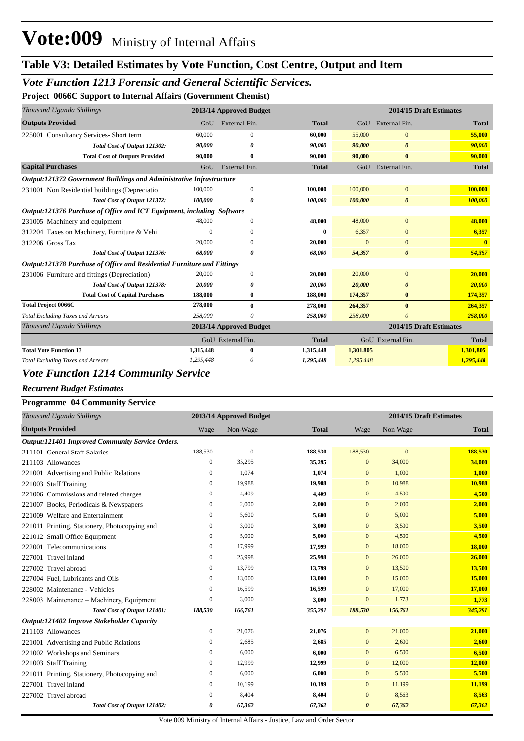#### *Vote Function 1213 Forensic and General Scientific Services.*

**Project 0066C Support to Internal Affairs (Government Chemist)**

| Thousand Uganda Shillings                                                   |                  | 2013/14 Approved Budget |              |                | 2014/15 Draft Estimates |              |
|-----------------------------------------------------------------------------|------------------|-------------------------|--------------|----------------|-------------------------|--------------|
| <b>Outputs Provided</b>                                                     | GoU              | External Fin.           | <b>Total</b> |                | GoU External Fin.       | <b>Total</b> |
| 225001 Consultancy Services- Short term                                     | 60,000           | $\mathbf{0}$            | 60.000       | 55,000         | $\bf{0}$                | 55,000       |
| Total Cost of Output 121302:                                                | 90,000           | 0                       | 90,000       | 90,000         | 0                       | 90,000       |
| <b>Total Cost of Outputs Provided</b>                                       | 90,000           | $\bf{0}$                | 90,000       | 90,000         | $\bf{0}$                | 90,000       |
| <b>Capital Purchases</b>                                                    | GoU              | External Fin.           | <b>Total</b> |                | GoU External Fin.       | <b>Total</b> |
| <b>Output:121372 Government Buildings and Administrative Infrastructure</b> |                  |                         |              |                |                         |              |
| 231001 Non Residential buildings (Depreciatio                               | 100,000          | $\mathbf{0}$            | 100,000      | 100,000        | $\mathbf{0}$            | 100,000      |
| Total Cost of Output 121372:                                                | 100,000          | 0                       | 100,000      | 100,000        | $\boldsymbol{\theta}$   | 100,000      |
| Output:121376 Purchase of Office and ICT Equipment, including Software      |                  |                         |              |                |                         |              |
| 231005 Machinery and equipment                                              | 48,000           | $\Omega$                | 48,000       | 48,000         | $\overline{0}$          | 48,000       |
| 312204 Taxes on Machinery, Furniture & Vehi                                 | $\Omega$         | $\Omega$                | 0            | 6,357          | $\bf{0}$                | 6,357        |
| 312206 Gross Tax                                                            | 20,000           | ∩                       | 20,000       | $\overline{0}$ | $\Omega$                |              |
| Total Cost of Output 121376:                                                | 68,000           | 0                       | 68,000       | 54,357         | $\boldsymbol{\theta}$   | 54,357       |
| Output:121378 Purchase of Office and Residential Furniture and Fittings     |                  |                         |              |                |                         |              |
| 231006 Furniture and fittings (Depreciation)                                | 20,000           | $\mathbf{0}$            | 20,000       | 20,000         | $\overline{0}$          | 20,000       |
| Total Cost of Output 121378:                                                | 20,000           | 0                       | 20,000       | 20,000         | 0                       | 20,000       |
| <b>Total Cost of Capital Purchases</b>                                      | 188,000          | $\bf{0}$                | 188,000      | 174,357        | $\bf{0}$                | 174,357      |
| <b>Total Project 0066C</b>                                                  | 278,000          | $\bf{0}$                | 278,000      | 264,357        | $\bf{0}$                | 264,357      |
| <b>Total Excluding Taxes and Arrears</b>                                    | 258,000          |                         | 258,000      | 258,000        | $\theta$                | 258,000      |
| Thousand Uganda Shillings                                                   |                  | 2013/14 Approved Budget |              |                | 2014/15 Draft Estimates |              |
|                                                                             |                  | GoU External Fin.       | <b>Total</b> |                | GoU External Fin.       | <b>Total</b> |
| <b>Total Vote Function 13</b>                                               | 1,315,448        | $\mathbf{0}$            | 1,315,448    | 1,301,805      |                         | 1,301,805    |
| <b>Total Excluding Taxes and Arrears</b>                                    | 1,295,448        | 0                       | 1,295,448    | 1,295,448      |                         | 1,295,448    |
| Vote Eurestien 1914 Commun                                                  | $\cdot$ . Comize |                         |              |                |                         |              |

#### *Vote Function 1214 Community Service*

#### *Recurrent Budget Estimates*

#### **Programme 04 Community Service**

| Thousand Uganda Shillings                        |              | 2013/14 Approved Budget |              |                       | 2014/15 Draft Estimates |              |
|--------------------------------------------------|--------------|-------------------------|--------------|-----------------------|-------------------------|--------------|
| <b>Outputs Provided</b>                          | Wage         | Non-Wage                | <b>Total</b> | Wage                  | Non Wage                | <b>Total</b> |
| Output:121401 Improved Community Service Orders. |              |                         |              |                       |                         |              |
| 211101 General Staff Salaries                    | 188,530      | $\mathbf{0}$            | 188,530      | 188,530               | $\mathbf{0}$            | 188,530      |
| 211103 Allowances                                | $\mathbf{0}$ | 35,295                  | 35,295       | $\mathbf{0}$          | 34,000                  | 34,000       |
| 221001 Advertising and Public Relations          | $\mathbf{0}$ | 1,074                   | 1,074        | $\mathbf{0}$          | 1,000                   | 1,000        |
| 221003 Staff Training                            | 0            | 19,988                  | 19,988       | $\mathbf{0}$          | 10,988                  | 10,988       |
| 221006 Commissions and related charges           | 0            | 4,409                   | 4,409        | $\mathbf{0}$          | 4,500                   | 4,500        |
| 221007 Books, Periodicals & Newspapers           | 0            | 2,000                   | 2,000        | $\mathbf{0}$          | 2,000                   | 2,000        |
| 221009 Welfare and Entertainment                 | $\Omega$     | 5,600                   | 5,600        | $\mathbf{0}$          | 5,000                   | 5,000        |
| 221011 Printing, Stationery, Photocopying and    | 0            | 3,000                   | 3,000        | $\mathbf{0}$          | 3,500                   | 3,500        |
| 221012 Small Office Equipment                    | $\Omega$     | 5,000                   | 5,000        | $\mathbf{0}$          | 4,500                   | 4,500        |
| 222001 Telecommunications                        | $\mathbf{0}$ | 17,999                  | 17,999       | $\mathbf{0}$          | 18,000                  | 18,000       |
| 227001 Travel inland                             | 0            | 25,998                  | 25,998       | $\mathbf{0}$          | 26,000                  | 26,000       |
| 227002 Travel abroad                             | $\mathbf{0}$ | 13,799                  | 13,799       | $\mathbf{0}$          | 13,500                  | 13,500       |
| 227004 Fuel, Lubricants and Oils                 | 0            | 13,000                  | 13,000       | $\mathbf{0}$          | 15,000                  | 15,000       |
| 228002 Maintenance - Vehicles                    | $\mathbf{0}$ | 16,599                  | 16,599       | $\mathbf{0}$          | 17,000                  | 17,000       |
| 228003 Maintenance – Machinery, Equipment        | 0            | 3,000                   | 3,000        | $\overline{0}$        | 1,773                   | 1,773        |
| Total Cost of Output 121401:                     | 188,530      | 166,761                 | 355,291      | 188,530               | 156,761                 | 345,291      |
| Output:121402 Improve Stakeholder Capacity       |              |                         |              |                       |                         |              |
| 211103 Allowances                                | $\mathbf{0}$ | 21,076                  | 21,076       | $\overline{0}$        | 21,000                  | 21,000       |
| 221001 Advertising and Public Relations          | 0            | 2,685                   | 2,685        | $\mathbf{0}$          | 2,600                   | 2,600        |
| 221002 Workshops and Seminars                    | $\mathbf{0}$ | 6,000                   | 6,000        | $\mathbf{0}$          | 6,500                   | 6,500        |
| 221003 Staff Training                            | 0            | 12,999                  | 12,999       | $\mathbf{0}$          | 12,000                  | 12,000       |
| 221011 Printing, Stationery, Photocopying and    | $\mathbf{0}$ | 6,000                   | 6,000        | $\mathbf{0}$          | 5,500                   | 5,500        |
| 227001 Travel inland                             | $\mathbf{0}$ | 10,199                  | 10,199       | $\mathbf{0}$          | 11,199                  | 11,199       |
| 227002 Travel abroad                             | $\Omega$     | 8,404                   | 8,404        | $\mathbf{0}$          | 8,563                   | 8,563        |
| Total Cost of Output 121402:                     | 0            | 67,362                  | 67,362       | $\boldsymbol{\theta}$ | 67,362                  | 67,362       |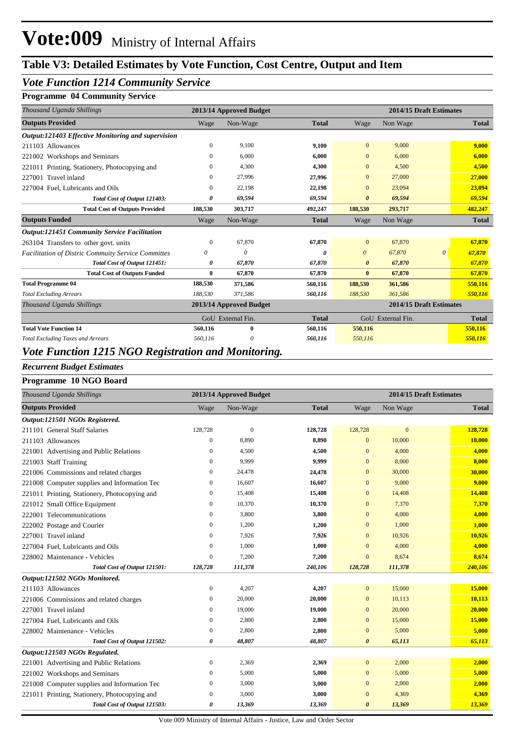#### *Vote Function 1214 Community Service*

#### **Programme 04 Community Service**

| Thousand Uganda Shillings                                 |              | 2013/14 Approved Budget |              | 2014/15 Draft Estimates |                         |          |              |
|-----------------------------------------------------------|--------------|-------------------------|--------------|-------------------------|-------------------------|----------|--------------|
| <b>Outputs Provided</b>                                   | Wage         | Non-Wage                | <b>Total</b> | Wage                    | Non Wage                |          | <b>Total</b> |
| Output:121403 Effective Monitoring and supervision        |              |                         |              |                         |                         |          |              |
| 211103 Allowances                                         | $\mathbf{0}$ | 9,100                   | 9,100        | $\overline{0}$          | 9,000                   |          | 9,000        |
| 221002 Workshops and Seminars                             | $\mathbf{0}$ | 6,000                   | 6,000        | $\mathbf{0}$            | 6,000                   |          | 6,000        |
| 221011 Printing, Stationery, Photocopying and             | $\mathbf{0}$ | 4,300                   | 4,300        | $\mathbf{0}$            | 4,500                   |          | 4,500        |
| 227001 Travel inland                                      | $\Omega$     | 27,996                  | 27,996       | $\mathbf{0}$            | 27,000                  |          | 27,000       |
| 227004 Fuel, Lubricants and Oils                          | $\mathbf{0}$ | 22,198                  | 22,198       | $\mathbf{0}$            | 23,094                  |          | 23,094       |
| Total Cost of Output 121403:                              | 0            | 69,594                  | 69,594       | $\boldsymbol{\theta}$   | 69,594                  |          | 69,594       |
| <b>Total Cost of Outputs Provided</b>                     | 188,530      | 303,717                 | 492,247      | 188,530                 | 293,717                 |          | 482,247      |
| <b>Outputs Funded</b>                                     | Wage         | Non-Wage                | <b>Total</b> | Wage                    | Non Wage                |          | <b>Total</b> |
| <b>Output:121451 Community Service Facilitation</b>       |              |                         |              |                         |                         |          |              |
| 263104 Transfers to other govt. units                     | $\mathbf{0}$ | 67,870                  | 67,870       | $\mathbf{0}$            | 67,870                  |          | 67,870       |
| <b>Facilitation of Distric Commuity Service Committes</b> | 0            | 0                       | 0            | $\theta$                | 67,870                  | $\theta$ | 67,870       |
| Total Cost of Output 121451:                              | 0            | 67,870                  | 67,870       | 0                       | 67,870                  |          | 67,870       |
| <b>Total Cost of Outputs Funded</b>                       | 0            | 67,870                  | 67,870       | $\bf{0}$                | 67,870                  |          | 67,870       |
| <b>Total Programme 04</b>                                 | 188,530      | 371,586                 | 560,116      | 188,530                 | 361,586                 |          | 550,116      |
| <b>Total Excluding Arrears</b>                            | 188,530      | 371,586                 | 560,116      | 188,530                 | 361,586                 |          | 550,116      |
| Thousand Uganda Shillings                                 |              | 2013/14 Approved Budget |              |                         | 2014/15 Draft Estimates |          |              |
|                                                           |              | GoU External Fin.       | <b>Total</b> |                         | GoU External Fin.       |          | <b>Total</b> |
| <b>Total Vote Function 14</b>                             | 560,116      | $\bf{0}$                | 560,116      | 550,116                 |                         |          | 550,116      |
| <b>Total Excluding Taxes and Arrears</b>                  | 560,116      | 0                       | 560,116      | 550,116                 |                         |          | 550,116      |

#### *Vote Function 1215 NGO Registration and Monitoring.*

#### *Recurrent Budget Estimates*

#### **Programme 10 NGO Board**

| Thousand Uganda Shillings                     |                  | 2013/14 Approved Budget |              | 2014/15 Draft Estimates |              |              |  |
|-----------------------------------------------|------------------|-------------------------|--------------|-------------------------|--------------|--------------|--|
| <b>Outputs Provided</b>                       | Wage             | Non-Wage                | <b>Total</b> | Wage                    | Non Wage     | <b>Total</b> |  |
| Output:121501 NGOs Registered.                |                  |                         |              |                         |              |              |  |
| 211101 General Staff Salaries                 | 128,728          | $\mathbf{0}$            | 128,728      | 128,728                 | $\mathbf{0}$ | 128,728      |  |
| 211103 Allowances                             | $\boldsymbol{0}$ | 8,890                   | 8,890        | $\mathbf{0}$            | 10,000       | 10,000       |  |
| 221001 Advertising and Public Relations       | $\mathbf{0}$     | 4,500                   | 4,500        | $\mathbf{0}$            | 4,000        | 4,000        |  |
| 221003 Staff Training                         | $\Omega$         | 9,999                   | 9,999        | $\overline{0}$          | 8,000        | 8,000        |  |
| 221006 Commissions and related charges        | $\boldsymbol{0}$ | 24,478                  | 24,478       | $\mathbf{0}$            | 30,000       | 30,000       |  |
| 221008 Computer supplies and Information Tec  | 0                | 16,607                  | 16,607       | $\mathbf{0}$            | 9,000        | 9,000        |  |
| 221011 Printing, Stationery, Photocopying and | $\mathbf{0}$     | 15,408                  | 15,408       | $\mathbf{0}$            | 14,408       | 14,408       |  |
| 221012 Small Office Equipment                 | $\mathbf{0}$     | 10,370                  | 10,370       | $\mathbf{0}$            | 7,370        | 7,370        |  |
| 222001 Telecommunications                     | 0                | 3,800                   | 3,800        | $\mathbf{0}$            | 4,000        | 4,000        |  |
| 222002 Postage and Courier                    | 0                | 1,200                   | 1,200        | $\bf{0}$                | 1,000        | 1,000        |  |
| 227001 Travel inland                          | $\mathbf{0}$     | 7,926                   | 7,926        | $\bf{0}$                | 10,926       | 10,926       |  |
| 227004 Fuel, Lubricants and Oils              | $\mathbf{0}$     | 1.000                   | 1,000        | $\overline{0}$          | 4,000        | 4,000        |  |
| 228002 Maintenance - Vehicles                 | $\boldsymbol{0}$ | 7,200                   | 7,200        | $\mathbf{0}$            | 8,674        | 8,674        |  |
| Total Cost of Output 121501:                  | 128,728          | 111,378                 | 240,106      | 128,728                 | 111,378      | 240,106      |  |
| Output:121502 NGOs Monitored.                 |                  |                         |              |                         |              |              |  |
| 211103 Allowances                             | $\boldsymbol{0}$ | 4,207                   | 4,207        | $\mathbf{0}$            | 15,000       | 15,000       |  |
| 221006 Commissions and related charges        | $\mathbf{0}$     | 20,000                  | 20,000       | $\mathbf{0}$            | 10,113       | 10,113       |  |
| 227001 Travel inland                          | $\mathbf{0}$     | 19,000                  | 19,000       | $\mathbf{0}$            | 20,000       | 20,000       |  |
| 227004 Fuel, Lubricants and Oils              | $\mathbf{0}$     | 2,800                   | 2,800        | $\mathbf{0}$            | 15,000       | 15,000       |  |
| 228002 Maintenance - Vehicles                 | $\boldsymbol{0}$ | 2,800                   | 2,800        | $\mathbf{0}$            | 5,000        | 5,000        |  |
| Total Cost of Output 121502:                  | 0                | 48,807                  | 48,807       | $\boldsymbol{\theta}$   | 65,113       | 65,113       |  |
| Output:121503 NGOs Regulated.                 |                  |                         |              |                         |              |              |  |
| 221001 Advertising and Public Relations       | $\boldsymbol{0}$ | 2,369                   | 2,369        | $\mathbf{0}$            | 2,000        | 2,000        |  |
| 221002 Workshops and Seminars                 | $\mathbf{0}$     | 5,000                   | 5,000        | $\bf{0}$                | 5,000        | 5,000        |  |
| 221008 Computer supplies and Information Tec  | $\boldsymbol{0}$ | 3,000                   | 3,000        | $\mathbf{0}$            | 2,000        | 2,000        |  |
| 221011 Printing, Stationery, Photocopying and | $\mathbf{0}$     | 3,000                   | 3,000        | $\overline{0}$          | 4,369        | 4,369        |  |
| Total Cost of Output 121503:                  | 0                | 13,369                  | 13,369       | $\boldsymbol{\theta}$   | 13,369       | 13,369       |  |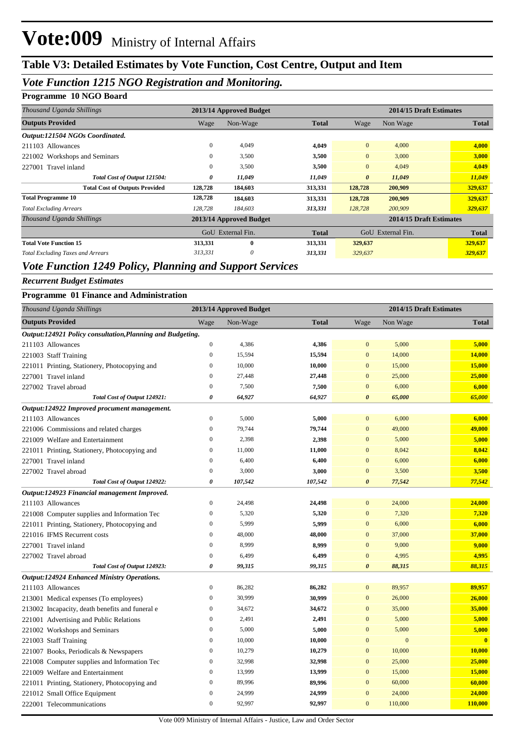## **Table V3: Detailed Estimates by Vote Function, Cost Centre, Output and Item**

### *Vote Function 1215 NGO Registration and Monitoring.*

#### **Programme 10 NGO Board**

| Thousand Uganda Shillings                |              | 2013/14 Approved Budget |              |                       | 2014/15 Draft Estimates |              |  |
|------------------------------------------|--------------|-------------------------|--------------|-----------------------|-------------------------|--------------|--|
| <b>Outputs Provided</b>                  | Wage         | Non-Wage                | <b>Total</b> | Wage                  | Non Wage                | <b>Total</b> |  |
| Output:121504 NGOs Coordinated.          |              |                         |              |                       |                         |              |  |
| 211103 Allowances                        | $\mathbf{0}$ | 4,049                   | 4,049        | $\mathbf{0}$          | 4,000                   | 4,000        |  |
| 221002 Workshops and Seminars            | $\Omega$     | 3,500                   | 3,500        | $\mathbf{0}$          | 3,000                   | 3,000        |  |
| 227001 Travel inland                     | $\mathbf{0}$ | 3,500                   | 3,500        | $\overline{0}$        | 4,049                   | 4,049        |  |
| Total Cost of Output 121504:             | 0            | 11,049                  | 11,049       | $\boldsymbol{\theta}$ | 11,049                  | 11,049       |  |
| <b>Total Cost of Outputs Provided</b>    | 128,728      | 184,603                 | 313,331      | 128,728               | 200,909                 | 329,637      |  |
| <b>Total Programme 10</b>                | 128,728      | 184,603                 | 313,331      | 128,728               | 200,909                 | 329,637      |  |
| <b>Total Excluding Arrears</b>           | 128,728      | 184,603                 | 313,331      | 128,728               | 200,909                 | 329,637      |  |
| Thousand Uganda Shillings                |              | 2013/14 Approved Budget |              |                       | 2014/15 Draft Estimates |              |  |
|                                          |              | GoU External Fin.       | <b>Total</b> | GoU                   | External Fin.           | <b>Total</b> |  |
| <b>Total Vote Function 15</b>            | 313,331      | $\mathbf{0}$            | 313,331      | 329,637               |                         | 329,637      |  |
| <b>Total Excluding Taxes and Arrears</b> | 313,331      | 0                       | 313,331      | 329,637               |                         | 329,637      |  |

## *Vote Function 1249 Policy, Planning and Support Services*

#### *Recurrent Budget Estimates*

| <b>Programme 01 Finance and Administration</b> |  |  |  |  |  |  |
|------------------------------------------------|--|--|--|--|--|--|
|------------------------------------------------|--|--|--|--|--|--|

| Thousand Uganda Shillings                                  |                  | 2013/14 Approved Budget |              |                       | 2014/15 Draft Estimates |                         |
|------------------------------------------------------------|------------------|-------------------------|--------------|-----------------------|-------------------------|-------------------------|
| <b>Outputs Provided</b>                                    | Wage             | Non-Wage                | <b>Total</b> | Wage                  | Non Wage                | <b>Total</b>            |
| Output:124921 Policy consultation, Planning and Budgeting. |                  |                         |              |                       |                         |                         |
| 211103 Allowances                                          | $\boldsymbol{0}$ | 4,386                   | 4,386        | $\mathbf{0}$          | 5,000                   | 5,000                   |
| 221003 Staff Training                                      | $\mathbf{0}$     | 15,594                  | 15,594       | $\mathbf{0}$          | 14,000                  | 14,000                  |
| 221011 Printing, Stationery, Photocopying and              | $\mathbf{0}$     | 10,000                  | 10,000       | $\mathbf{0}$          | 15,000                  | 15,000                  |
| 227001 Travel inland                                       | $\mathbf{0}$     | 27,448                  | 27,448       | $\mathbf{0}$          | 25,000                  | 25,000                  |
| 227002 Travel abroad                                       | $\boldsymbol{0}$ | 7,500                   | 7,500        | $\mathbf{0}$          | 6,000                   | 6,000                   |
| Total Cost of Output 124921:                               | 0                | 64,927                  | 64,927       | $\boldsymbol{\theta}$ | 65,000                  | 65,000                  |
| Output:124922 Improved procument management.               |                  |                         |              |                       |                         |                         |
| 211103 Allowances                                          | $\mathbf{0}$     | 5,000                   | 5,000        | $\mathbf{0}$          | 6,000                   | 6,000                   |
| 221006 Commissions and related charges                     | $\boldsymbol{0}$ | 79,744                  | 79,744       | $\boldsymbol{0}$      | 49,000                  | 49,000                  |
| 221009 Welfare and Entertainment                           | $\boldsymbol{0}$ | 2,398                   | 2,398        | $\boldsymbol{0}$      | 5,000                   | 5,000                   |
| 221011 Printing, Stationery, Photocopying and              | $\boldsymbol{0}$ | 11,000                  | 11,000       | $\mathbf{0}$          | 8,042                   | 8,042                   |
| 227001 Travel inland                                       | $\mathbf{0}$     | 6,400                   | 6,400        | $\mathbf{0}$          | 6,000                   | 6,000                   |
| 227002 Travel abroad                                       | $\boldsymbol{0}$ | 3,000                   | 3,000        | $\boldsymbol{0}$      | 3,500                   | 3,500                   |
| Total Cost of Output 124922:                               | $\pmb{\theta}$   | 107,542                 | 107,542      | $\boldsymbol{\theta}$ | 77,542                  | 77,542                  |
| Output:124923 Financial management Improved.               |                  |                         |              |                       |                         |                         |
| 211103 Allowances                                          | $\boldsymbol{0}$ | 24,498                  | 24,498       | $\mathbf{0}$          | 24,000                  | 24,000                  |
| 221008 Computer supplies and Information Tec               | $\mathbf{0}$     | 5,320                   | 5,320        | $\boldsymbol{0}$      | 7,320                   | 7,320                   |
| 221011 Printing, Stationery, Photocopying and              | $\boldsymbol{0}$ | 5,999                   | 5,999        | $\mathbf{0}$          | 6,000                   | 6,000                   |
| 221016 IFMS Recurrent costs                                | $\overline{0}$   | 48,000                  | 48,000       | $\mathbf{0}$          | 37,000                  | 37,000                  |
| 227001 Travel inland                                       | $\overline{0}$   | 8,999                   | 8,999        | $\mathbf{0}$          | 9,000                   | 9,000                   |
| 227002 Travel abroad                                       | $\boldsymbol{0}$ | 6,499                   | 6,499        | $\boldsymbol{0}$      | 4,995                   | 4,995                   |
| Total Cost of Output 124923:                               | 0                | 99,315                  | 99,315       | $\boldsymbol{\theta}$ | 88,315                  | 88,315                  |
| <b>Output:124924 Enhanced Ministry Operations.</b>         |                  |                         |              |                       |                         |                         |
| 211103 Allowances                                          | $\boldsymbol{0}$ | 86,282                  | 86,282       | $\mathbf{0}$          | 89,957                  | 89,957                  |
| 213001 Medical expenses (To employees)                     | $\boldsymbol{0}$ | 30,999                  | 30,999       | $\mathbf{0}$          | 26,000                  | 26,000                  |
| 213002 Incapacity, death benefits and funeral e            | $\boldsymbol{0}$ | 34,672                  | 34,672       | $\mathbf{0}$          | 35,000                  | 35,000                  |
| 221001 Advertising and Public Relations                    | $\boldsymbol{0}$ | 2,491                   | 2,491        | $\mathbf{0}$          | 5,000                   | 5,000                   |
| 221002 Workshops and Seminars                              | $\mathbf{0}$     | 5,000                   | 5,000        | $\mathbf{0}$          | 5,000                   | 5,000                   |
| 221003 Staff Training                                      | $\mathbf{0}$     | 10,000                  | 10,000       | $\mathbf{0}$          | $\mathbf{0}$            | $\overline{\mathbf{0}}$ |
| 221007 Books, Periodicals & Newspapers                     | $\mathbf{0}$     | 10,279                  | 10,279       | $\mathbf{0}$          | 10,000                  | 10,000                  |
| 221008 Computer supplies and Information Tec               | $\boldsymbol{0}$ | 32,998                  | 32,998       | $\mathbf{0}$          | 25,000                  | 25,000                  |
| 221009 Welfare and Entertainment                           | $\mathbf{0}$     | 13,999                  | 13,999       | $\mathbf{0}$          | 15,000                  | 15,000                  |
| 221011 Printing, Stationery, Photocopying and              | $\overline{0}$   | 89,996                  | 89,996       | $\mathbf{0}$          | 60,000                  | 60,000                  |
| 221012 Small Office Equipment                              | $\boldsymbol{0}$ | 24,999                  | 24,999       | $\boldsymbol{0}$      | 24,000                  | 24,000                  |
| 222001 Telecommunications                                  | $\boldsymbol{0}$ | 92,997                  | 92,997       | $\mathbf{0}$          | 110,000                 | 110,000                 |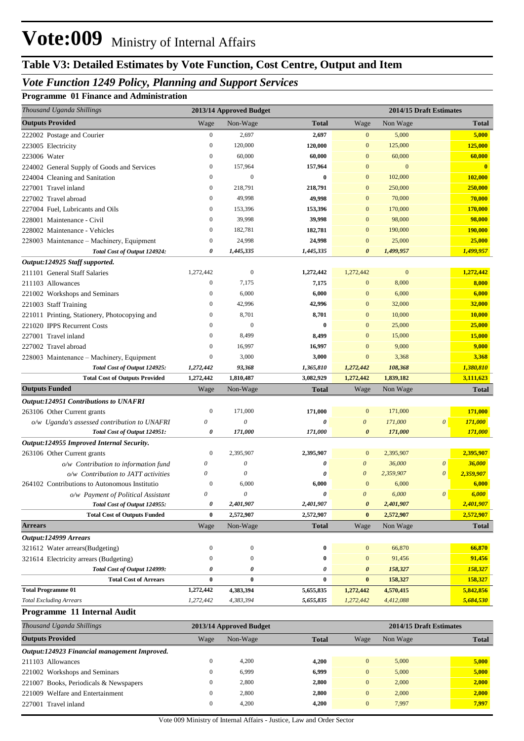## **Table V3: Detailed Estimates by Vote Function, Cost Centre, Output and Item**

### *Vote Function 1249 Policy, Planning and Support Services*

#### **Programme 01 Finance and Administration**

| Thousand Uganda Shillings                     |                  | 2013/14 Approved Budget |              |                       | 2014/15 Draft Estimates |                       |                |
|-----------------------------------------------|------------------|-------------------------|--------------|-----------------------|-------------------------|-----------------------|----------------|
| <b>Outputs Provided</b>                       | Wage             | Non-Wage                | <b>Total</b> | Wage                  | Non Wage                |                       | <b>Total</b>   |
| 222002 Postage and Courier                    | $\boldsymbol{0}$ | 2,697                   | 2,697        | $\mathbf{0}$          | 5,000                   |                       | 5,000          |
| 223005 Electricity                            | $\boldsymbol{0}$ | 120,000                 | 120,000      | $\mathbf{0}$          | 125,000                 |                       | 125,000        |
| 223006 Water                                  | $\boldsymbol{0}$ | 60,000                  | 60,000       | $\mathbf{0}$          | 60,000                  |                       | 60,000         |
| 224002 General Supply of Goods and Services   | $\boldsymbol{0}$ | 157,964                 | 157,964      | $\mathbf{0}$          | $\boldsymbol{0}$        |                       | $\overline{0}$ |
| 224004 Cleaning and Sanitation                | $\boldsymbol{0}$ | $\mathbf{0}$            | $\bf{0}$     | $\mathbf{0}$          | 102,000                 |                       | 102,000        |
| 227001 Travel inland                          | $\boldsymbol{0}$ | 218,791                 | 218,791      | $\mathbf{0}$          | 250,000                 |                       | 250,000        |
| 227002 Travel abroad                          | $\boldsymbol{0}$ | 49,998                  | 49,998       | $\mathbf{0}$          | 70,000                  |                       | 70,000         |
| 227004 Fuel, Lubricants and Oils              | $\boldsymbol{0}$ | 153,396                 | 153,396      | $\mathbf{0}$          | 170,000                 |                       | 170,000        |
| 228001 Maintenance - Civil                    | $\boldsymbol{0}$ | 39,998                  | 39,998       | $\mathbf{0}$          | 98,000                  |                       | 98,000         |
| 228002 Maintenance - Vehicles                 | $\boldsymbol{0}$ | 182,781                 | 182,781      | $\mathbf{0}$          | 190,000                 |                       | 190,000        |
| 228003 Maintenance - Machinery, Equipment     | $\mathbf{0}$     | 24,998                  | 24,998       | $\mathbf{0}$          | 25,000                  |                       | 25,000         |
| Total Cost of Output 124924:                  | 0                | 1,445,335               | 1,445,335    | $\boldsymbol{\theta}$ | 1,499,957               |                       | 1,499,957      |
| Output:124925 Staff supported.                |                  |                         |              |                       |                         |                       |                |
| 211101 General Staff Salaries                 | 1,272,442        | $\mathbf{0}$            | 1,272,442    | 1,272,442             | $\mathbf{0}$            |                       | 1,272,442      |
| 211103 Allowances                             | $\mathbf{0}$     | 7,175                   | 7,175        | $\mathbf{0}$          | 8,000                   |                       | 8,000          |
| 221002 Workshops and Seminars                 | $\mathbf{0}$     | 6,000                   | 6,000        | $\mathbf{0}$          | 6,000                   |                       | 6,000          |
| 221003 Staff Training                         | $\mathbf{0}$     | 42,996                  | 42,996       | $\mathbf{0}$          | 32,000                  |                       | 32,000         |
| 221011 Printing, Stationery, Photocopying and | $\boldsymbol{0}$ | 8,701                   | 8,701        | $\mathbf{0}$          | 10,000                  |                       | 10,000         |
| 221020 IPPS Recurrent Costs                   | $\mathbf{0}$     | $\mathbf{0}$            | $\bf{0}$     | $\mathbf{0}$          | 25,000                  |                       | 25,000         |
| 227001 Travel inland                          | $\mathbf{0}$     | 8,499                   | 8,499        | $\mathbf{0}$          | 15,000                  |                       | 15,000         |
| 227002 Travel abroad                          | $\mathbf{0}$     | 16,997                  | 16,997       | $\mathbf{0}$          | 9,000                   |                       | 9,000          |
| 228003 Maintenance - Machinery, Equipment     | $\boldsymbol{0}$ | 3,000                   | 3,000        | $\mathbf{0}$          | 3,368                   |                       | 3,368          |
| Total Cost of Output 124925:                  | 1,272,442        | 93,368                  | 1,365,810    | 1,272,442             | 108,368                 |                       | 1,380,810      |
| <b>Total Cost of Outputs Provided</b>         | 1,272,442        | 1,810,487               | 3,082,929    | 1,272,442             | 1,839,182               |                       | 3,111,623      |
| <b>Outputs Funded</b>                         | Wage             | Non-Wage                | <b>Total</b> | Wage                  | Non Wage                |                       | <b>Total</b>   |
| <b>Output:124951 Contributions to UNAFRI</b>  |                  |                         |              |                       |                         |                       |                |
| 263106 Other Current grants                   | $\mathbf{0}$     | 171,000                 | 171,000      | $\mathbf{0}$          | 171,000                 |                       | 171,000        |
| o/w Uganda's assessed contribution to UNAFRI  | 0                | $\boldsymbol{\theta}$   | 0            | $\boldsymbol{\theta}$ | 171,000                 | $\boldsymbol{\theta}$ | 171,000        |
| Total Cost of Output 124951:                  | 0                | 171,000                 | 171,000      | $\boldsymbol{\theta}$ | 171,000                 |                       | 171,000        |
| Output:124955 Improved Internal Security.     |                  |                         |              |                       |                         |                       |                |
| 263106 Other Current grants                   | $\mathbf{0}$     | 2,395,907               | 2,395,907    | $\mathbf{0}$          | 2,395,907               |                       | 2,395,907      |
| o/w Contribution to information fund          | 0                | $\boldsymbol{\theta}$   | 0            | $\boldsymbol{\theta}$ | 36,000                  | $\boldsymbol{\theta}$ | 36,000         |
| o/w Contribution to JATT activities           | 0                | $\boldsymbol{\theta}$   | 0            | $\boldsymbol{\theta}$ | 2,359,907               | $\boldsymbol{\theta}$ | 2,359,907      |
| 264102 Contributions to Autonomous Institutio | $\mathbf{0}$     | 6,000                   | 6,000        | $\mathbf{0}$          | 6,000                   |                       | 6,000          |
| o/w Payment of Political Assistant            | 0                | $\theta$                | 0            | $\theta$              | 6,000                   | $\theta$              | 6,000          |
| Total Cost of Output 124955:                  | 0                | 2,401,907               | 2,401,907    | $\boldsymbol{\theta}$ | 2,401,907               |                       | 2,401,907      |
| <b>Total Cost of Outputs Funded</b>           | 0                | 2,572,907               | 2,572,907    | $\bf{0}$              | 2,572,907               |                       | 2,572,907      |
| <b>Arrears</b>                                | Wage             | Non-Wage                | <b>Total</b> | Wage                  | Non Wage                |                       | <b>Total</b>   |
| Output:124999 Arrears                         |                  |                         |              |                       |                         |                       |                |
| 321612 Water arrears(Budgeting)               | $\boldsymbol{0}$ | $\boldsymbol{0}$        | 0            | $\mathbf{0}$          | 66,870                  |                       | 66,870         |
| 321614 Electricity arrears (Budgeting)        | $\boldsymbol{0}$ | $\boldsymbol{0}$        | $\bf{0}$     | $\boldsymbol{0}$      | 91,456                  |                       | 91,456         |
| Total Cost of Output 124999:                  | 0                | 0                       | 0            | 0                     | 158,327                 |                       | 158,327        |
| <b>Total Cost of Arrears</b>                  | $\bf{0}$         | $\bf{0}$                | $\bf{0}$     | $\bf{0}$              | 158,327                 |                       | 158,327        |
| <b>Total Programme 01</b>                     | 1,272,442        | 4,383,394               | 5,655,835    | 1,272,442             | 4,570,415               |                       | 5,842,856      |
| <b>Total Excluding Arrears</b>                | 1,272,442        | 4,383,394               | 5,655,835    | 1,272,442             | 4,412,088               |                       | 5,684,530      |
| Programme 11 Internal Audit                   |                  |                         |              |                       |                         |                       |                |

| Thousand Uganda Shillings                    |              |          |                         |          | 2014/15 Draft Estimates |              |  |
|----------------------------------------------|--------------|----------|-------------------------|----------|-------------------------|--------------|--|
| <b>Outputs Provided</b>                      | Wage         | Non-Wage | <b>Total</b>            | Wage     | Non Wage                | <b>Total</b> |  |
| Output:124923 Financial management Improved. |              |          |                         |          |                         |              |  |
| 211103 Allowances                            | $\mathbf{0}$ | 4.200    | 4.200                   | $\Omega$ | 5,000                   | 5,000        |  |
| 221002 Workshops and Seminars                | $\mathbf{0}$ | 6.999    | 6.999                   | $\Omega$ | 5,000                   | 5,000        |  |
| 221007 Books, Periodicals & Newspapers       | $\mathbf{0}$ | 2.800    | 2.800                   | $\Omega$ | 2,000                   | 2.000        |  |
| 221009 Welfare and Entertainment             | $\mathbf{0}$ | 2.800    | 2.800                   | $\Omega$ | 2,000                   | 2,000        |  |
| 227001 Travel inland                         | $\mathbf{0}$ | 4.200    | 4.200                   | $\Omega$ | 7,997                   | 7.997        |  |
|                                              |              |          | 2013/14 Approved Budget |          |                         |              |  |